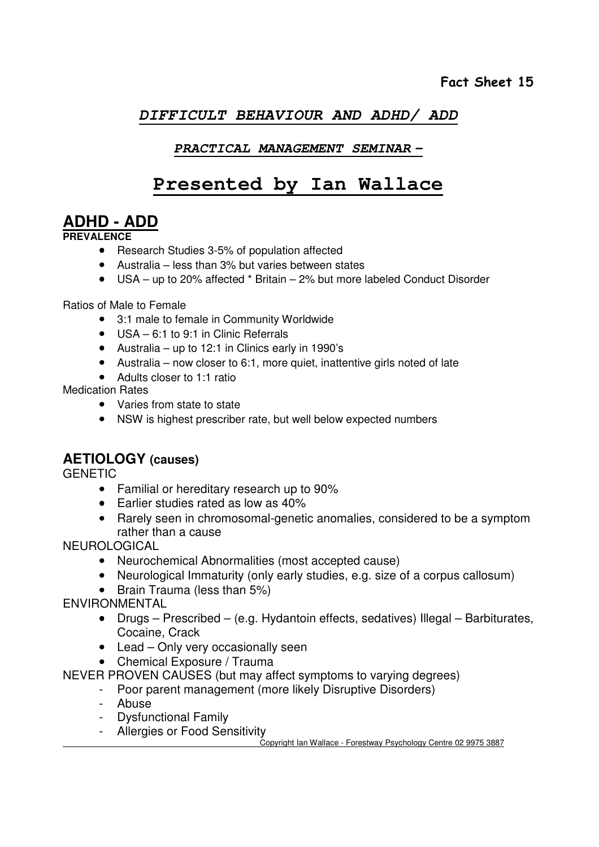## **DIFFICULT BEHAVIOUR AND ADHD/ ADD**

#### **PRACTICAL MANAGEMENT SEMINAR –**

# **Presented by Ian Wallace**

# **ADHD - ADD**

**PREVAL ENCE** 

- Research Studies 3-5% of population affected
- Australia less than 3% but varies between states
- USA up to 20% affected \* Britain 2% but more labeled Conduct Disorder

Ratios of Male to Female

- 3:1 male to female in Community Worldwide
- USA 6:1 to 9:1 in Clinic Referrals
- Australia up to 12:1 in Clinics early in 1990's
- Australia now closer to 6:1, more quiet, inattentive girls noted of late
- Adults closer to 1:1 ratio

Medication Rates

- Varies from state to state
- NSW is highest prescriber rate, but well below expected numbers

## **AETIOLOGY (causes)**

**GENETIC** 

- Familial or hereditary research up to 90%
- Earlier studies rated as low as 40%
- Rarely seen in chromosomal-genetic anomalies, considered to be a symptom rather than a cause

NEUROLOGICAL

- Neurochemical Abnormalities (most accepted cause)
- Neurological Immaturity (only early studies, e.g. size of a corpus callosum)
- Brain Trauma (less than 5%)

ENVIRONMENTAL

- Drugs Prescribed (e.g. Hydantoin effects, sedatives) Illegal Barbiturates, Cocaine, Crack
- Lead Only very occasionally seen
- Chemical Exposure / Trauma

NEVER PROVEN CAUSES (but may affect symptoms to varying degrees)

- Poor parent management (more likely Disruptive Disorders)
- Abuse
- Dysfunctional Family
- Allergies or Food Sensitivity

Copyright Ian Wallace - Forestway Psychology Centre 02 9975 3887